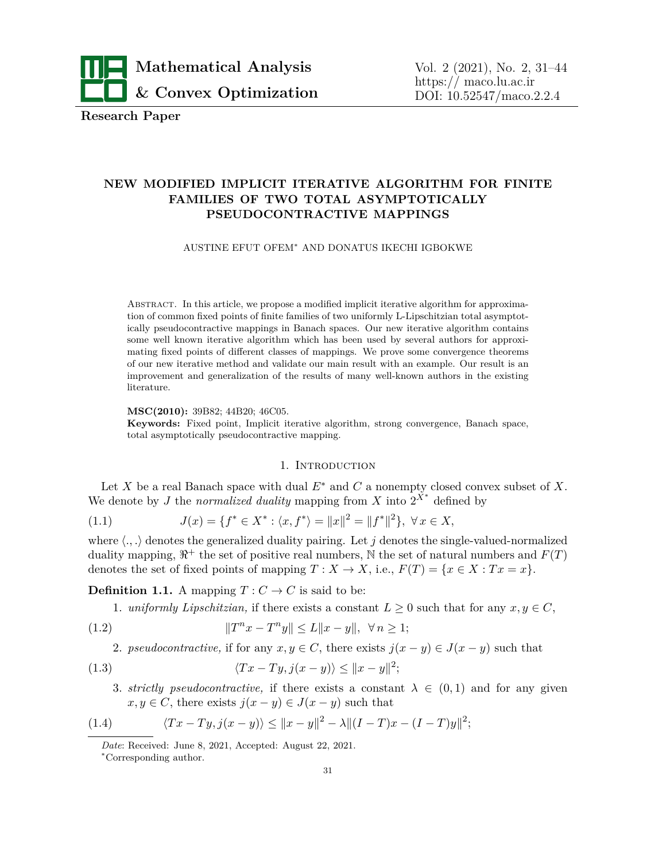

**Research Paper**

# **NEW MODIFIED IMPLICIT ITERATIVE ALGORITHM FOR FINITE FAMILIES OF TWO TOTAL ASYMPTOTICALLY PSEUDOCONTRACTIVE MAPPINGS**

#### AUSTINE EFUT OFEM*<sup>∗</sup>* AND DONATUS IKECHI IGBOKWE

Abstract. In this article, we propose a modified implicit iterative algorithm for approximation of common fixed points of finite families of two uniformly L-Lipschitzian total asymptotically pseudocontractive mappings in Banach spaces. Our new iterative algorithm contains some well known iterative algorithm which has been used by several authors for approximating fixed points of different classes of mappings. We prove some convergence theorems of our new iterative method and validate our main result with an example. Our result is an improvement and generalization of the results of many well-known authors in the existing literature.

**MSC(2010):** 39B82; 44B20; 46C05.

**Keywords:** Fixed point, Implicit iterative algorithm, strong convergence, Banach space, total asymptotically pseudocontractive mapping.

# 1. INTRODUCTION

Let *X* be a real Banach space with dual  $E^*$  and *C* a nonempty closed convex subset of *X*. We denote by *J* the *normalized duality* mapping from *X* into  $2^{X^*}$  defined by

(1.1) 
$$
J(x) = \{ f^* \in X^* : \langle x, f^* \rangle = ||x||^2 = ||f^*||^2 \}, \ \forall x \in X,
$$

where  $\langle ., . \rangle$  denotes the generalized duality pairing. Let *j* denotes the single-valued-normalized duality mapping,  $\mathbb{R}^+$  the set of positive real numbers, N the set of natural numbers and  $F(T)$ denotes the set of fixed points of mapping  $T : X \to X$ , i.e.,  $F(T) = \{x \in X : Tx = x\}$ .

**Definition 1.1.** A mapping  $T: C \to C$  is said to be:

1. *uniformly Lipschitzian*, if there exists a constant  $L \geq 0$  such that for any  $x, y \in C$ ,

(1.2) 
$$
||T^n x - T^n y|| \le L||x - y||, \ \forall n \ge 1;
$$

2. *pseudocontractive*, if for any  $x, y \in C$ , there exists  $j(x - y) \in J(x - y)$  such that

(1.3) 
$$
\langle Tx - Ty, j(x - y) \rangle \le ||x - y||^2;
$$

3. *strictly pseudocontractive*, if there exists a constant  $\lambda \in (0,1)$  and for any given  $x, y \in C$ , there exists  $j(x - y) \in J(x - y)$  such that

(1.4) 
$$
\langle Tx - Ty, j(x - y) \rangle \le ||x - y||^2 - \lambda ||(I - T)x - (I - T)y||^2;
$$

*Date*: Received: June 8, 2021, Accepted: August 22, 2021.

*<sup>∗</sup>*Corresponding author.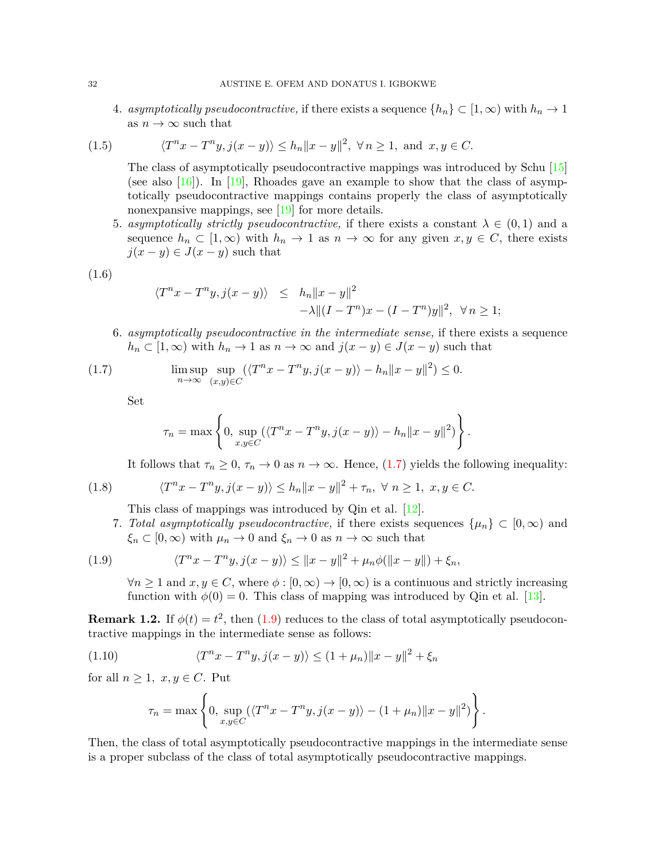4. *asymptotically pseudocontractive*, if there exists a sequence  $\{h_n\} \subset [1,\infty)$  with  $h_n \to 1$ as  $n \to \infty$  such that

(1.5) 
$$
\langle T^n x - T^n y, j(x - y) \rangle \le h_n ||x - y||^2, \ \forall n \ge 1, \text{ and } x, y \in C.
$$

The class of asymptotically pseudocontractive mappings was introduced by Schu [\[15\]](#page-13-0) (see also  $[16]$  $[16]$ ). In [\[19](#page-13-2)], Rhoades gave an example to show that the class of asymptotically pseudocontractive mappings contains properly the class of asymptotically nonexpansive mappings, see [\[19](#page-13-2)] for more details.

5. *asymptotically strictly pseudocontractive,* if there exists a constant  $\lambda \in (0,1)$  and a sequence  $h_n \subset [1,\infty)$  with  $h_n \to 1$  as  $n \to \infty$  for any given  $x, y \in C$ , there exists  $j(x - y) \in J(x - y)$  such that

$$
(1.6)
$$

$$
\langle T^n x - T^n y, j(x - y) \rangle \leq h_n ||x - y||^2
$$
  
-  $\lambda ||(I - T^n)x - (I - T^n)y||^2, \forall n \geq 1;$ 

6. *asymptotically pseudocontractive in the intermediate sense,* if there exists a sequence  $h_n \subset [1,\infty)$  with  $h_n \to 1$  as  $n \to \infty$  and  $j(x - y) \in J(x - y)$  such that

(1.7) 
$$
\limsup_{n \to \infty} \sup_{(x,y) \in C} (\langle T^n x - T^n y, j(x - y) \rangle - h_n ||x - y||^2) \le 0.
$$

Set

<span id="page-1-0"></span>
$$
\tau_n = \max \left\{ 0, \sup_{x,y \in C} (\langle T^n x - T^n y, j(x - y) \rangle - h_n ||x - y||^2) \right\}.
$$

It follows that  $\tau_n \geq 0$ ,  $\tau_n \to 0$  as  $n \to \infty$ . Hence, ([1.7\)](#page-1-0) yields the following inequality:

(1.8) 
$$
\langle T^n x - T^n y, j(x - y) \rangle \le h_n \|x - y\|^2 + \tau_n, \ \forall \ n \ge 1, \ x, y \in C.
$$

This class of mappings was introduced by Qin et al. [\[12](#page-12-0)].

7. *Total asymptotically pseudocontractive,* if there exists sequences  $\{\mu_n\} \subset [0,\infty)$  and  $\xi_n \subset [0, \infty)$  with  $\mu_n \to 0$  and  $\xi_n \to 0$  as  $n \to \infty$  such that

(1.9) 
$$
\langle T^n x - T^n y, j(x - y) \rangle \le ||x - y||^2 + \mu_n \phi(||x - y||) + \xi_n,
$$

<span id="page-1-1"></span>*∀n*  $\geq$  1 and *x, y* ∈ *C*, where  $\phi$  : [0, ∞)  $\rightarrow$  [0, ∞) is a continuous and strictly increasing function with  $\phi(0) = 0$ . This class of mapping was introduced by Qin et al. [\[13\]](#page-12-1).

**Remark 1.2.** If  $\phi(t) = t^2$ , then ([1.9\)](#page-1-1) reduces to the class of total asymptotically pseudocontractive mappings in the intermediate sense as follows:

(1.10) 
$$
\langle T^n x - T^n y, j(x - y) \rangle \le (1 + \mu_n) \|x - y\|^2 + \xi_n
$$

for all  $n \geq 1$ ,  $x, y \in C$ . Put

$$
\tau_n = \max \left\{ 0, \sup_{x,y \in C} (\langle T^n x - T^n y, j(x - y) \rangle - (1 + \mu_n) ||x - y||^2) \right\}.
$$

Then, the class of total asymptotically pseudocontractive mappings in the intermediate sense is a proper subclass of the class of total asymptotically pseudocontractive mappings.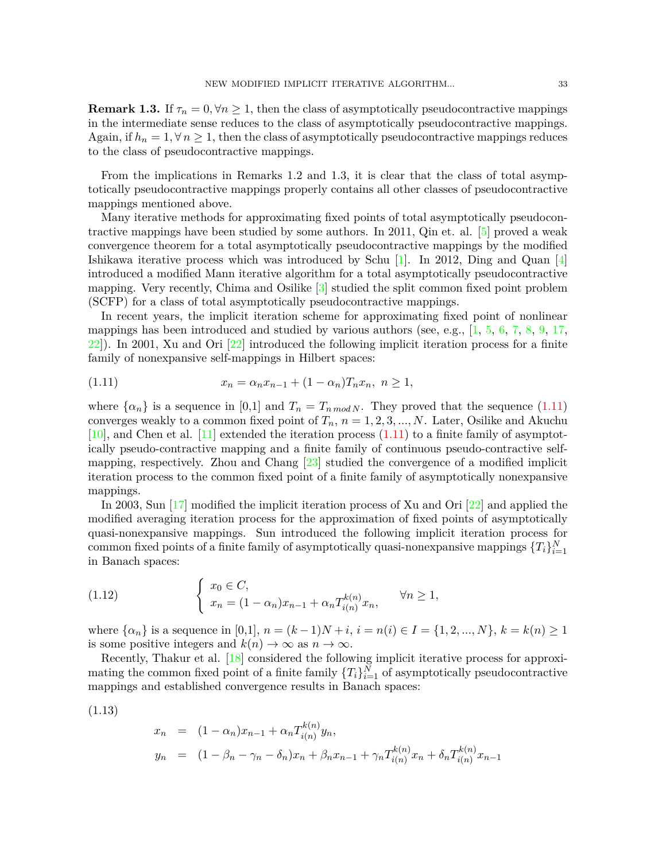**Remark 1.3.** If  $\tau_n = 0, \forall n \geq 1$ , then the class of asymptotically pseudocontractive mappings in the intermediate sense reduces to the class of asymptotically pseudocontractive mappings. Again, if  $h_n = 1, \forall n \geq 1$ , then the class of asymptotically pseudocontractive mappings reduces to the class of pseudocontractive mappings.

From the implications in Remarks 1.2 and 1.3, it is clear that the class of total asymptotically pseudocontractive mappings properly contains all other classes of pseudocontractive mappings mentioned above.

Many iterative methods for approximating fixed points of total asymptotically pseudocontractive mappings have been studied by some authors. In 2011, Qin et. al. [\[5\]](#page-12-2) proved a weak convergence theorem for a total asymptotically pseudocontractive mappings by the modified Ishikawa iterative process which was introduced by Schu  $[1]$ . In 2012, Ding and Quan  $[4]$  $[4]$ introduced a modified Mann iterative algorithm for a total asymptotically pseudocontractive mapping. Very recently, Chima and Osilike [\[3\]](#page-12-5) studied the split common fixed point problem (SCFP) for a class of total asymptotically pseudocontractive mappings.

In recent years, the implicit iteration scheme for approximating fixed point of nonlinear mappings has been introduced and studied by various authors (see, e.g.,  $[1, 5, 6, 7, 8, 9, 17,$  $[1, 5, 6, 7, 8, 9, 17,$  $[1, 5, 6, 7, 8, 9, 17,$  $[1, 5, 6, 7, 8, 9, 17,$  $[1, 5, 6, 7, 8, 9, 17,$  $[1, 5, 6, 7, 8, 9, 17,$  $[1, 5, 6, 7, 8, 9, 17,$  $[1, 5, 6, 7, 8, 9, 17,$  $[1, 5, 6, 7, 8, 9, 17,$  $[1, 5, 6, 7, 8, 9, 17,$  $[1, 5, 6, 7, 8, 9, 17,$  $[1, 5, 6, 7, 8, 9, 17,$  $[22]$  $[22]$ ). In 2001, Xu and Ori  $[22]$  introduced the following implicit iteration process for a finite family of nonexpansive self-mappings in Hilbert spaces:

<span id="page-2-0"></span>(1.11) 
$$
x_n = \alpha_n x_{n-1} + (1 - \alpha_n) T_n x_n, \ n \ge 1,
$$

where  $\{\alpha_n\}$  is a sequence in [0,1] and  $T_n = T_{n \mod N}$ . They proved that the sequence [\(1.11\)](#page-2-0) converges weakly to a common fixed point of  $T_n$ ,  $n = 1, 2, 3, ..., N$ . Later, Osilike and Akuchu  $[10]$ , and Chen et al.  $[11]$  extended the iteration process  $(1.11)$  $(1.11)$  to a finite family of asymptotically pseudo-contractive mapping and a finite family of continuous pseudo-contractive selfmapping, respectively. Zhou and Chang [[23](#page-13-5)] studied the convergence of a modified implicit iteration process to the common fixed point of a finite family of asymptotically nonexpansive mappings.

In 2003, Sun [[17\]](#page-13-3) modified the implicit iteration process of Xu and Ori [\[22](#page-13-4)] and applied the modified averaging iteration process for the approximation of fixed points of asymptotically quasi-nonexpansive mappings. Sun introduced the following implicit iteration process for common fixed points of a finite family of asymptotically quasi-nonexpansive mappings  $\{T_i\}_{i=1}^N$ in Banach spaces:

<span id="page-2-2"></span>(1.12) 
$$
\begin{cases} x_0 \in C, \\ x_n = (1 - \alpha_n)x_{n-1} + \alpha_n T_{i(n)}^{k(n)} x_n, \end{cases} \forall n \ge 1,
$$

where  $\{\alpha_n\}$  is a sequence in [0,1],  $n = (k-1)N + i$ ,  $i = n(i) \in I = \{1, 2, ..., N\}$ ,  $k = k(n) \ge 1$ is some positive integers and  $k(n) \to \infty$  as  $n \to \infty$ .

Recently, Thakur et al. [[18\]](#page-13-6) considered the following implicit iterative process for approximating the common fixed point of a finite family  $\{T_i\}_{i=1}^N$  of asymptotically pseudocontractive mappings and established convergence results in Banach spaces:

$$
(1.13)
$$

<span id="page-2-1"></span>
$$
x_n = (1 - \alpha_n)x_{n-1} + \alpha_n T_{i(n)}^{k(n)} y_n,
$$
  
\n
$$
y_n = (1 - \beta_n - \gamma_n - \delta_n)x_n + \beta_n x_{n-1} + \gamma_n T_{i(n)}^{k(n)} x_n + \delta_n T_{i(n)}^{k(n)} x_{n-1}
$$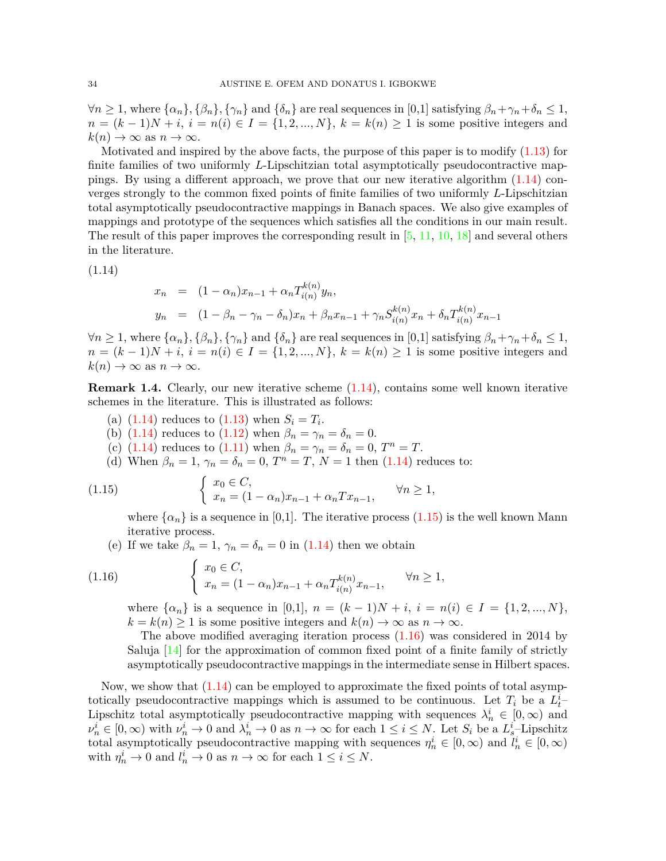$\forall n \geq 1$ , where  $\{\alpha_n\}, \{\beta_n\}, \{\gamma_n\}$  and  $\{\delta_n\}$  are real sequences in [0,1] satisfying  $\beta_n + \gamma_n + \delta_n \leq 1$ , *n* =  $(k-1)N + i$ ,  $i = n(i) ∈ I = {1, 2, ..., N}$ ,  $k = k(n) ≥ 1$  is some positive integers and  $k(n) \to \infty$  as  $n \to \infty$ .

Motivated and inspired by the above facts, the purpose of this paper is to modify  $(1.13)$  for finite families of two uniformly *L*-Lipschitzian total asymptotically pseudocontractive mappings. By using a different approach, we prove that our new iterative algorithm [\(1.14\)](#page-3-0) converges strongly to the common fixed points of finite families of two uniformly *L*-Lipschitzian total asymptotically pseudocontractive mappings in Banach spaces. We also give examples of mappings and prototype of the sequences which satisfies all the conditions in our main result. The result of this paper improves the corresponding result in  $[5, 11, 10, 18]$  $[5, 11, 10, 18]$  $[5, 11, 10, 18]$  $[5, 11, 10, 18]$  $[5, 11, 10, 18]$  $[5, 11, 10, 18]$  $[5, 11, 10, 18]$  $[5, 11, 10, 18]$  and several others in the literature.

(1.14)

<span id="page-3-0"></span>
$$
x_n = (1 - \alpha_n)x_{n-1} + \alpha_n T_{i(n)}^{k(n)} y_n,
$$
  
\n
$$
y_n = (1 - \beta_n - \gamma_n - \delta_n)x_n + \beta_n x_{n-1} + \gamma_n S_{i(n)}^{k(n)} x_n + \delta_n T_{i(n)}^{k(n)} x_{n-1}
$$

 $\forall n \geq 1$ , where  $\{\alpha_n\}, \{\beta_n\}, \{\gamma_n\}$  and  $\{\delta_n\}$  are real sequences in [0,1] satisfying  $\beta_n + \gamma_n + \delta_n \leq 1$ , *n* =  $(k − 1)N + i$ ,  $i = n(i) ∈ I = {1, 2, ..., N}$ ,  $k = k(n) ≥ 1$  is some positive integers and  $k(n) \to \infty$  as  $n \to \infty$ .

**Remark 1.4.** Clearly, our new iterative scheme  $(1.14)$  $(1.14)$  $(1.14)$ , contains some well known iterative schemes in the literature. This is illustrated as follows:

- (a)  $(1.14)$  $(1.14)$  reduces to  $(1.13)$  when  $S_i = T_i$ .
- (b) ([1.14\)](#page-3-0) reduces to [\(1.12\)](#page-2-2) when  $\beta_n = \gamma_n = \delta_n = 0$ .
- (c)  $(1.14)$  $(1.14)$  reduces to  $(1.11)$  when  $\beta_n = \gamma_n = \delta_n = 0, T^n = T$ .
- (d) When  $\beta_n = 1$ ,  $\gamma_n = \delta_n = 0$ ,  $T^n = T$ ,  $N = 1$  then ([1.14](#page-3-0)) reduces to:

(1.15) 
$$
\begin{cases} x_0 \in C, \\ x_n = (1 - \alpha_n)x_{n-1} + \alpha_n Tx_{n-1}, \end{cases} \forall n \ge 1,
$$

<span id="page-3-1"></span>where  $\{\alpha_n\}$  is a sequence in [0,1]. The iterative process ([1.15](#page-3-1)) is the well known Mann iterative process.

(e) If we take  $\beta_n = 1$ ,  $\gamma_n = \delta_n = 0$  in [\(1.14\)](#page-3-0) then we obtain

(1.16) 
$$
\begin{cases} x_0 \in C, \\ x_n = (1 - \alpha_n)x_{n-1} + \alpha_n T_{i(n)}^{k(n)} x_{n-1}, \end{cases} \forall n \ge 1,
$$

<span id="page-3-2"></span>where  $\{\alpha_n\}$  is a sequence in [0,1],  $n = (k-1)N + i$ ,  $i = n(i) \in I = \{1, 2, ..., N\}$ ,  $k = k(n) \geq 1$  is some positive integers and  $k(n) \to \infty$  as  $n \to \infty$ .

The above modified averaging iteration process  $(1.16)$  $(1.16)$  $(1.16)$  was considered in 2014 by Saluja  $[14]$  $[14]$  for the approximation of common fixed point of a finite family of strictly asymptotically pseudocontractive mappings in the intermediate sense in Hilbert spaces.

Now, we show that ([1.14](#page-3-0)) can be employed to approximate the fixed points of total asymptotically pseudocontractive mappings which is assumed to be continuous. Let  $T_i$  be a  $L_t^i$ Lipschitz total asymptotically pseudocontractive mapping with sequences  $\lambda_n^i \in [0, \infty)$  and  $\nu_n^i \in [0,\infty)$  with  $\nu_n^i \to 0$  and  $\lambda_n^i \to 0$  as  $n \to \infty$  for each  $1 \leq i \leq N$ . Let  $S_i$  be a  $L_s^i$ -Lipschitz total asymptotically pseudocontractive mapping with sequences  $\eta_n^i \in [0, \infty)$  and  $l_n^i \in [0, \infty)$ with  $\eta_n^i \to 0$  and  $l_n^i \to 0$  as  $n \to \infty$  for each  $1 \le i \le N$ .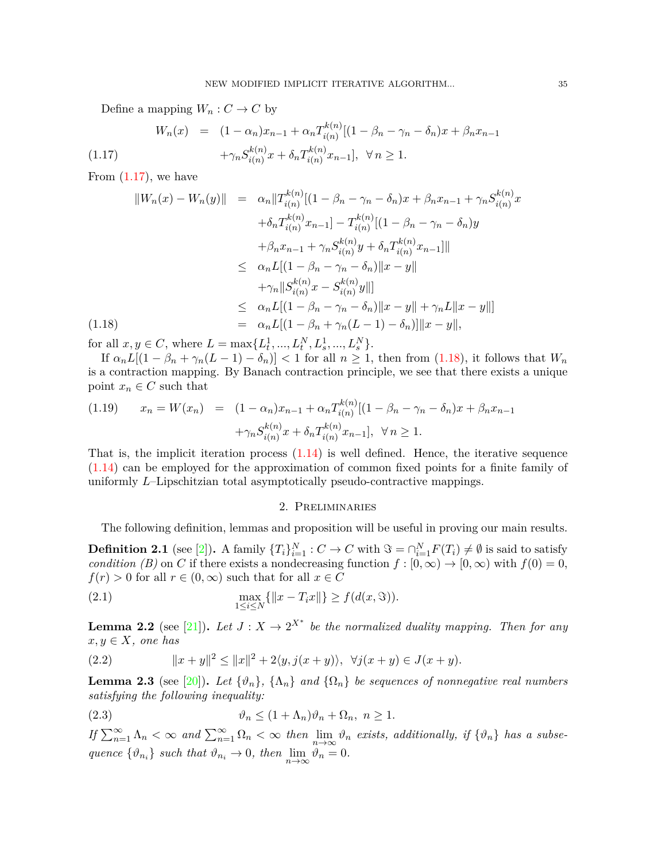<span id="page-4-0"></span>Define a mapping  $W_n: C \to C$  by

$$
W_n(x) = (1 - \alpha_n)x_{n-1} + \alpha_n T_{i(n)}^{k(n)}[(1 - \beta_n - \gamma_n - \delta_n)x + \beta_n x_{n-1} + \gamma_n S_{i(n)}^{k(n)} x + \delta_n T_{i(n)}^{k(n)} x_{n-1}], \ \forall n \ge 1.
$$

From  $(1.17)$  $(1.17)$  $(1.17)$ , we have

<span id="page-4-1"></span>
$$
||W_n(x) - W_n(y)|| = \alpha_n ||T_{i(n)}^{k(n)}[(1 - \beta_n - \gamma_n - \delta_n)x + \beta_n x_{n-1} + \gamma_n S_{i(n)}^{k(n)}x + \delta_n T_{i(n)}^{k(n)} x_{n-1}] - T_{i(n)}^{k(n)}[(1 - \beta_n - \gamma_n - \delta_n)y + \beta_n x_{n-1} + \gamma_n S_{i(n)}^{k(n)} y + \delta_n T_{i(n)}^{k(n)} x_{n-1}]|| \leq \alpha_n L[(1 - \beta_n - \gamma_n - \delta_n) ||x - y|| + \gamma_n ||S_{i(n)}^{k(n)} x - S_{i(n)}^{k(n)} y||] \leq \alpha_n L[(1 - \beta_n - \gamma_n - \delta_n) ||x - y|| + \gamma_n L ||x - y||] = \alpha_n L[(1 - \beta_n + \gamma_n (L - 1) - \delta_n)] ||x - y||,
$$

for all  $x, y \in C$ , where  $L = \max\{L_t^1, ..., L_t^N, L_s^1, ..., L_s^N\}$ .

If  $\alpha_n L[(1 - \beta_n + \gamma_n(L-1) - \delta_n)] < 1$  for all  $n \geq 1$ , then from ([1.18](#page-4-1)), it follows that  $W_n$ is a contraction mapping. By Banach contraction principle, we see that there exists a unique point  $x_n \in C$  such that

$$
(1.19) \qquad x_n = W(x_n) = (1 - \alpha_n)x_{n-1} + \alpha_n T_{i(n)}^{k(n)}[(1 - \beta_n - \gamma_n - \delta_n)x + \beta_n x_{n-1} + \gamma_n S_{i(n)}^{k(n)} x + \delta_n T_{i(n)}^{k(n)} x_{n-1}], \quad \forall n \ge 1.
$$

That is, the implicit iteration process  $(1.14)$  $(1.14)$  $(1.14)$  is well defined. Hence, the iterative sequence [\(1.14\)](#page-3-0) can be employed for the approximation of common fixed points for a finite family of uniformly *L*–Lipschitzian total asymptotically pseudo-contractive mappings.

# 2. Preliminaries

The following definition, lemmas and proposition will be useful in proving our main results.

**Definition [2](#page-12-13).1** (see [2]). A family  $\{T_i\}_{i=1}^N : C \to C$  with  $\Im = \cap_{i=1}^N F(T_i) \neq \emptyset$  is said to satisfy *condition (B)* on *C* if there exists a nondecreasing function  $f : [0, \infty) \to [0, \infty)$  with  $f(0) = 0$ ,  $f(r) > 0$  for all  $r \in (0, \infty)$  such that for all  $x \in C$ 

(2.1) 
$$
\max_{1 \le i \le N} \{ \|x - T_i x\| \} \ge f(d(x, \Im)).
$$

**Lemma 2.2** (see [[21](#page-13-7)]). Let  $J: X \to 2^{X^*}$  be the normalized duality mapping. Then for any  $x, y \in X$ *, one has* 

(2.2) 
$$
||x + y||^{2} \le ||x||^{2} + 2\langle y, j(x + y) \rangle, \ \forall j(x + y) \in J(x + y).
$$

**Lemma 2.3** (see [\[20](#page-13-8)]). Let  $\{\vartheta_n\}$ ,  $\{\Lambda_n\}$  and  $\{\Omega_n\}$  be sequences of nonnegative real numbers *satisfying the following inequality:*

(2.3) 
$$
\vartheta_n \le (1 + \Lambda_n)\vartheta_n + \Omega_n, \ n \ge 1.
$$

If  $\sum_{n=1}^{\infty} \Lambda_n < \infty$  and  $\sum_{n=1}^{\infty} \Omega_n < \infty$  then  $\lim_{n \to \infty} \vartheta_n$  exists, additionally, if  $\{\vartheta_n\}$  has a subse*quence*  $\{\vartheta_{n_i}\}\$  *such that*  $\vartheta_{n_i} \to 0$ *, then*  $\lim_{n \to \infty} \vartheta_n = 0$ *.*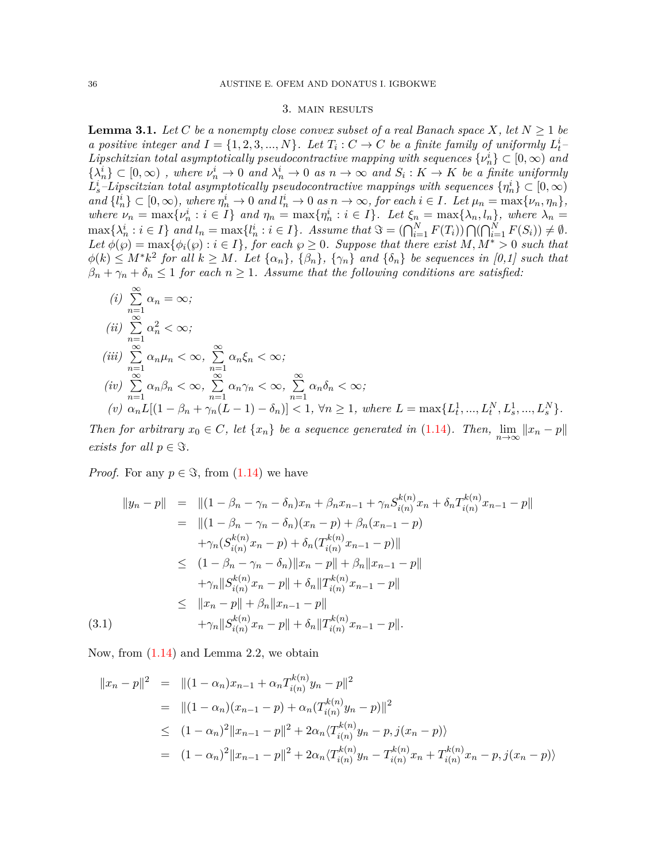#### 3. main results

**Lemma 3.1.** *Let C be a nonempty close convex subset of a real Banach space*  $X$ *, let*  $N \geq 1$  *be* a positive integer and  $I = \{1, 2, 3, ..., N\}$ . Let  $T_i : C \to C$  be a finite family of uniformly  $L_t^i$ *Lipschitzian total asymptotically pseudocontractive mapping with sequences*  $\{v_n^i\} \subset [0, \infty)$  and  $\{\lambda_n^i\} \subset [0,\infty)$ , where  $\nu_n^i \to 0$  and  $\lambda_n^i \to 0$  as  $n \to \infty$  and  $S_i: K \to K$  be a finite uniformly  $L_s^i$ *–Lipscitzian total asymptotically pseudocontractive mappings with sequences*  $\{\eta^i_n\} \subset [0,\infty)$ and  $\{l_n^i\} \subset [0,\infty)$ , where  $\eta_n^i \to 0$  and  $l_n^i \to 0$  as  $n \to \infty$ , for each  $i \in I$ . Let  $\mu_n = \max\{\nu_n, \eta_n\}$ , where  $\nu_n = \max\{\nu_n^i : i \in I\}$  and  $\eta_n = \max\{\eta_n^i : i \in I\}$ . Let  $\xi_n = \max\{\lambda_n, l_n\}$ , where  $\lambda_n =$  $\max\{\lambda_n^i : i \in I\}$  and  $l_n = \max\{l_n^i : i \in I\}$ . Assume that  $\Im = (\bigcap_{i=1}^N F(T_i)) \bigcap (\bigcap_{i=1}^N F(S_i)) \neq \emptyset$ .  $Let \phi(\wp) = \max{\phi_i(\wp) : i \in I}, for each \wp \ge 0.$  Suppose that there exist  $M, M^* > 0$  such that  $\phi(k) \leq M^* k^2$  for all  $k \geq M$ . Let  $\{\alpha_n\}, \{\beta_n\}, \{\gamma_n\}$  and  $\{\delta_n\}$  be sequences in [0,1] such that  $\beta_n + \gamma_n + \delta_n \leq 1$  *for each*  $n \geq 1$ *. Assume that the following conditions are satisfied:* 

(i) 
$$
\sum_{n=1}^{\infty} \alpha_n = \infty;
$$
  
\n(ii) 
$$
\sum_{n=1}^{\infty} \alpha_n^2 < \infty;
$$
  
\n(iii) 
$$
\sum_{n=1}^{\infty} \alpha_n \mu_n < \infty, \sum_{n=1}^{\infty} \alpha_n \xi_n < \infty;
$$
  
\n(iv) 
$$
\sum_{n=1}^{\infty} \alpha_n \beta_n < \infty, \sum_{n=1}^{\infty} \alpha_n \gamma_n < \infty, \sum_{n=1}^{\infty} \alpha_n \delta_n < \infty;
$$
  
\n(v) 
$$
\alpha_n L[(1 - \beta_n + \gamma_n(L - 1) - \delta_n)] < 1, \forall n \ge 1, \text{ where } L = \max\{L_t^1, ..., L_t^N, L_s^1, ..., L_s^N\}.
$$

Then for arbitrary  $x_0 \in C$ , let  $\{x_n\}$  be a sequence generated in [\(1.14\)](#page-3-0). Then,  $\lim_{n \to \infty} ||x_n - p||$ *exists for all*  $p \in \Im$ *.* 

*Proof.* For any  $p \in \Im$ , from  $(1.14)$  we have

$$
||y_n - p|| = ||(1 - \beta_n - \gamma_n - \delta_n)x_n + \beta_n x_{n-1} + \gamma_n S_{i(n)}^{k(n)} x_n + \delta_n T_{i(n)}^{k(n)} x_{n-1} - p||
$$
  
\n
$$
= ||(1 - \beta_n - \gamma_n - \delta_n)(x_n - p) + \beta_n (x_{n-1} - p)
$$
  
\n
$$
+ \gamma_n (S_{i(n)}^{k(n)} x_n - p) + \delta_n (T_{i(n)}^{k(n)} x_{n-1} - p)||
$$
  
\n
$$
\leq (1 - \beta_n - \gamma_n - \delta_n) ||x_n - p|| + \beta_n ||x_{n-1} - p||
$$
  
\n
$$
+ \gamma_n ||S_{i(n)}^{k(n)} x_n - p|| + \delta_n ||T_{i(n)}^{k(n)} x_{n-1} - p||
$$
  
\n
$$
\leq ||x_n - p|| + \beta_n ||x_{n-1} - p||
$$
  
\n(3.1)  
\n
$$
+ \gamma_n ||S_{i(n)}^{k(n)} x_n - p|| + \delta_n ||T_{i(n)}^{k(n)} x_{n-1} - p||.
$$

Now, from ([1.14](#page-3-0)) and Lemma 2.2, we obtain

<span id="page-5-0"></span>
$$
||x_n - p||^2 = ||(1 - \alpha_n)x_{n-1} + \alpha_n T_{i(n)}^{k(n)} y_n - p||^2
$$
  
\n
$$
= ||(1 - \alpha_n)(x_{n-1} - p) + \alpha_n (T_{i(n)}^{k(n)} y_n - p)||^2
$$
  
\n
$$
\leq (1 - \alpha_n)^2 ||x_{n-1} - p||^2 + 2\alpha_n \langle T_{i(n)}^{k(n)} y_n - p, j(x_n - p) \rangle
$$
  
\n
$$
= (1 - \alpha_n)^2 ||x_{n-1} - p||^2 + 2\alpha_n \langle T_{i(n)}^{k(n)} y_n - T_{i(n)}^{k(n)} x_n + T_{i(n)}^{k(n)} x_n - p, j(x_n - p) \rangle
$$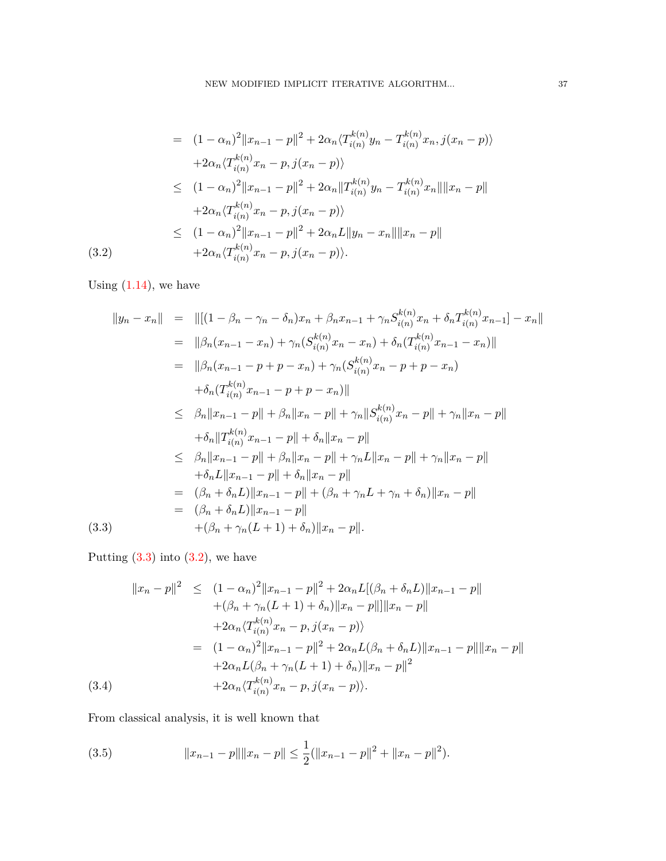$$
= (1 - \alpha_n)^2 \|x_{n-1} - p\|^2 + 2\alpha_n \langle T_{i(n)}^{k(n)} y_n - T_{i(n)}^{k(n)} x_n, j(x_n - p) \rangle
$$
  
+2\alpha\_n \langle T\_{i(n)}^{k(n)} x\_n - p, j(x\_n - p) \rangle  

$$
\leq (1 - \alpha_n)^2 \|x_{n-1} - p\|^2 + 2\alpha_n \|T_{i(n)}^{k(n)} y_n - T_{i(n)}^{k(n)} x_n\| \|x_n - p\|
$$
  
+2\alpha\_n \langle T\_{i(n)}^{k(n)} x\_n - p, j(x\_n - p) \rangle  

$$
\leq (1 - \alpha_n)^2 \|x_{n-1} - p\|^2 + 2\alpha_n L \|y_n - x_n\| \|x_n - p\|
$$
  
(3.2) +2\alpha\_n \langle T\_{i(n)}^{k(n)} x\_n - p, j(x\_n - p) \rangle.

Using  $(1.14)$  $(1.14)$  $(1.14)$ , we have

<span id="page-6-0"></span>
$$
||y_n - x_n|| = ||[(1 - \beta_n - \gamma_n - \delta_n)x_n + \beta_n x_{n-1} + \gamma_n S_{i(n)}^{k(n)} x_n + \delta_n T_{i(n)}^{k(n)} x_{n-1}] - x_n||
$$
  
\n
$$
= ||\beta_n (x_{n-1} - x_n) + \gamma_n (S_{i(n)}^{k(n)} x_n - x_n) + \delta_n (T_{i(n)}^{k(n)} x_{n-1} - x_n)||
$$
  
\n
$$
= ||\beta_n (x_{n-1} - p + p - x_n) + \gamma_n (S_{i(n)}^{k(n)} x_n - p + p - x_n)
$$
  
\n
$$
+ \delta_n (T_{i(n)}^{k(n)} x_{n-1} - p + p - x_n)||
$$
  
\n
$$
\leq \beta_n ||x_{n-1} - p|| + \beta_n ||x_n - p|| + \gamma_n ||S_{i(n)}^{k(n)} x_n - p|| + \gamma_n ||x_n - p||
$$
  
\n
$$
+ \delta_n ||T_{i(n)}^{k(n)} x_{n-1} - p|| + \delta_n ||x_n - p||
$$
  
\n
$$
\leq \beta_n ||x_{n-1} - p|| + \beta_n ||x_n - p|| + \gamma_n L ||x_n - p|| + \gamma_n ||x_n - p||
$$
  
\n
$$
+ \delta_n L ||x_{n-1} - p|| + \delta_n ||x_n - p||
$$
  
\n
$$
= (\beta_n + \delta_n L) ||x_{n-1} - p|| + (\beta_n + \gamma_n L + \gamma_n + \delta_n) ||x_n - p||
$$
  
\n
$$
= (\beta_n + \delta_n L) ||x_{n-1} - p||
$$
  
\n(3.3)

Putting  $(3.3)$  $(3.3)$  into  $(3.2)$  $(3.2)$ , we have

<span id="page-6-1"></span>
$$
||x_n - p||^2 \le (1 - \alpha_n)^2 ||x_{n-1} - p||^2 + 2\alpha_n L [(\beta_n + \delta_n L) ||x_{n-1} - p||
$$
  
+  $(\beta_n + \gamma_n (L + 1) + \delta_n) ||x_n - p|| ||x_n - p||$   
+  $2\alpha_n \langle T_{i(n)}^{k(n)} x_n - p, j(x_n - p) \rangle$   
=  $(1 - \alpha_n)^2 ||x_{n-1} - p||^2 + 2\alpha_n L(\beta_n + \delta_n L) ||x_{n-1} - p|| ||x_n - p||$   
+  $2\alpha_n L(\beta_n + \gamma_n (L + 1) + \delta_n) ||x_n - p||^2$   
(3.4)  
+  $2\alpha_n \langle T_{i(n)}^{k(n)} x_n - p, j(x_n - p) \rangle$ .

From classical analysis, it is well known that

<span id="page-6-2"></span>(3.5) 
$$
||x_{n-1} - p|| ||x_n - p|| \leq \frac{1}{2} (||x_{n-1} - p||^2 + ||x_n - p||^2).
$$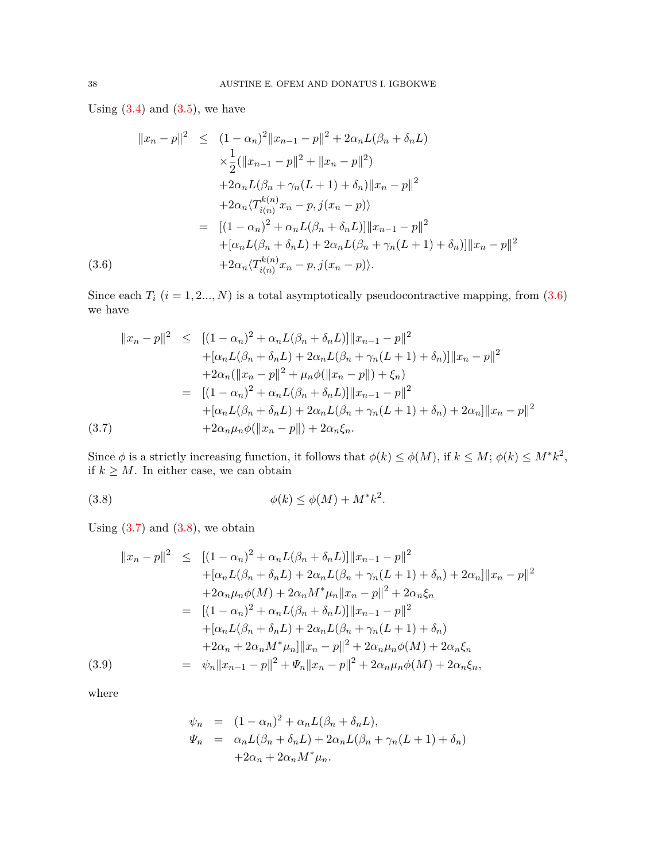Using  $(3.4)$  $(3.4)$  and  $(3.5)$  $(3.5)$ , we have

<span id="page-7-0"></span>
$$
||x_n - p||^2 \le (1 - \alpha_n)^2 ||x_{n-1} - p||^2 + 2\alpha_n L(\beta_n + \delta_n L)
$$
  
\n
$$
\times \frac{1}{2} (||x_{n-1} - p||^2 + ||x_n - p||^2)
$$
  
\n
$$
+ 2\alpha_n L(\beta_n + \gamma_n (L+1) + \delta_n) ||x_n - p||^2
$$
  
\n
$$
+ 2\alpha_n \langle T_{i(n)}^{k(n)} x_n - p, j(x_n - p) \rangle
$$
  
\n
$$
= [(1 - \alpha_n)^2 + \alpha_n L(\beta_n + \delta_n L)] ||x_{n-1} - p||^2
$$
  
\n
$$
+ [\alpha_n L(\beta_n + \delta_n L) + 2\alpha_n L(\beta_n + \gamma_n (L+1) + \delta_n)] ||x_n - p||^2
$$
  
\n(3.6)  
\n
$$
+ 2\alpha_n \langle T_{i(n)}^{k(n)} x_n - p, j(x_n - p) \rangle.
$$

Since each  $T_i$  ( $i = 1, 2, ..., N$ ) is a total asymptotically pseudocontractive mapping, from ([3.6\)](#page-7-0) we have

<span id="page-7-1"></span>
$$
||x_n - p||^2 \le [(1 - \alpha_n)^2 + \alpha_n L(\beta_n + \delta_n L)] ||x_{n-1} - p||^2
$$
  
+  $[\alpha_n L(\beta_n + \delta_n L) + 2\alpha_n L(\beta_n + \gamma_n (L+1) + \delta_n)] ||x_n - p||^2$   
+  $2\alpha_n (||x_n - p||^2 + \mu_n \phi(||x_n - p||) + \xi_n)$   
=  $[(1 - \alpha_n)^2 + \alpha_n L(\beta_n + \delta_n L)] ||x_{n-1} - p||^2$   
+  $[\alpha_n L(\beta_n + \delta_n L) + 2\alpha_n L(\beta_n + \gamma_n (L+1) + \delta_n) + 2\alpha_n ||x_n - p||^2$   
(3.7)  $+2\alpha_n \mu_n \phi(||x_n - p||) + 2\alpha_n \xi_n$ .

Since  $\phi$  is a strictly increasing function, it follows that  $\phi(k) \leq \phi(M)$ , if  $k \leq M$ ;  $\phi(k) \leq M^*k^2$ , if  $k \geq M$ . In either case, we can obtain

<span id="page-7-2"></span>
$$
\phi(k) \le \phi(M) + M^*k^2.
$$

Using  $(3.7)$  $(3.7)$  and  $(3.8)$  $(3.8)$ , we obtain

<span id="page-7-3"></span>
$$
||x_n - p||^2 \le [(1 - \alpha_n)^2 + \alpha_n L(\beta_n + \delta_n L)] ||x_{n-1} - p||^2
$$
  
+  $[\alpha_n L(\beta_n + \delta_n L) + 2\alpha_n L(\beta_n + \gamma_n (L + 1) + \delta_n) + 2\alpha_n] ||x_n - p||^2$   
+  $2\alpha_n \mu_n \phi(M) + 2\alpha_n M^* \mu_n ||x_n - p||^2 + 2\alpha_n \xi_n$   
=  $[(1 - \alpha_n)^2 + \alpha_n L(\beta_n + \delta_n L)] ||x_{n-1} - p||^2$   
+  $[\alpha_n L(\beta_n + \delta_n L) + 2\alpha_n L(\beta_n + \gamma_n (L + 1) + \delta_n)$   
+  $2\alpha_n + 2\alpha_n M^* \mu_n] ||x_n - p||^2 + 2\alpha_n \mu_n \phi(M) + 2\alpha_n \xi_n$   
(3.9) =  $\psi_n ||x_{n-1} - p||^2 + \psi_n ||x_n - p||^2 + 2\alpha_n \mu_n \phi(M) + 2\alpha_n \xi_n$ ,

where

$$
\psi_n = (1 - \alpha_n)^2 + \alpha_n L(\beta_n + \delta_n L),
$$
  
\n
$$
\Psi_n = \alpha_n L(\beta_n + \delta_n L) + 2\alpha_n L(\beta_n + \gamma_n (L+1) + \delta_n)
$$
  
\n
$$
+ 2\alpha_n + 2\alpha_n M^* \mu_n.
$$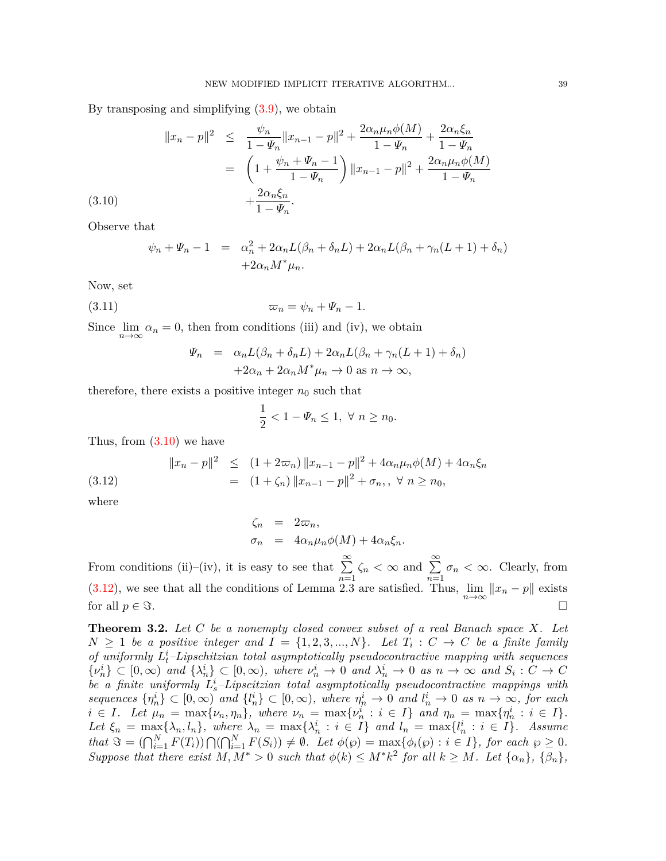By transposing and simplifying [\(3.9](#page-7-3)), we obtain

<span id="page-8-0"></span>
$$
||x_n - p||^2 \le \frac{\psi_n}{1 - \Psi_n} ||x_{n-1} - p||^2 + \frac{2\alpha_n \mu_n \phi(M)}{1 - \Psi_n} + \frac{2\alpha_n \xi_n}{1 - \Psi_n}
$$
  
=  $\left(1 + \frac{\psi_n + \Psi_n - 1}{1 - \Psi_n}\right) ||x_{n-1} - p||^2 + \frac{2\alpha_n \mu_n \phi(M)}{1 - \Psi_n} + \frac{2\alpha_n \xi_n}{1 - \Psi_n}.$ 

Observe that

 $(3.10)$ 

$$
\psi_n + \Psi_n - 1 = \alpha_n^2 + 2\alpha_n L(\beta_n + \delta_n L) + 2\alpha_n L(\beta_n + \gamma_n (L+1) + \delta_n)
$$
  
+2\alpha\_n M^\*\mu\_n.

Now, set

$$
\varpi_n = \psi_n + \Psi_n - 1.
$$

Since  $\lim_{n\to\infty} \alpha_n = 0$ , then from conditions (iii) and (iv), we obtain

$$
\Psi_n = \alpha_n L(\beta_n + \delta_n L) + 2\alpha_n L(\beta_n + \gamma_n (L+1) + \delta_n)
$$
  
+2\alpha\_n + 2\alpha\_n M^\* \mu\_n \to 0 \text{ as } n \to \infty,

therefore, there exists a positive integer  $n_0$  such that

$$
\frac{1}{2} < 1 - \Psi_n \le 1, \ \forall \ n \ge n_0.
$$

Thus, from  $(3.10)$  $(3.10)$  $(3.10)$  we have

<span id="page-8-1"></span>(3.12) 
$$
||x_n - p||^2 \le (1 + 2\pi n) ||x_{n-1} - p||^2 + 4\alpha_n \mu_n \phi(M) + 4\alpha_n \xi_n
$$

$$
= (1 + \zeta_n) ||x_{n-1} - p||^2 + \sigma_n, \ \forall \ n \ge n_0,
$$

where

$$
\begin{array}{rcl}\n\zeta_n & = & 2\varpi_n, \\
\sigma_n & = & 4\alpha_n\mu_n\phi(M) + 4\alpha_n\xi_n.\n\end{array}
$$

From conditions (ii)–(iv), it is easy to see that  $\sum_{n=1}^{\infty}$ *n*=1  $\zeta_n < \infty$  and  $\sum_{n=1}^{\infty}$ *n*=1  $\sigma_n < \infty$ . Clearly, from [\(3.12\)](#page-8-1), we see that all the conditions of Lemma 2.3 are satisfied. Thus,  $\lim_{n\to\infty} ||x_n - p||$  exists for all  $p \in \Im$ .

**Theorem 3.2.** *Let C be a nonempty closed convex subset of a real Banach space X. Let*  $N \geq 1$  *be a positive integer and*  $I = \{1, 2, 3, ..., N\}$ *. Let*  $T_i : C \rightarrow C$  *be a finite family of uniformly L i <sup>t</sup>–Lipschitzian total asymptotically pseudocontractive mapping with sequences*  $\{\nu_n^i\} \subset [0,\infty)$  and  $\{\lambda_n^i\} \subset [0,\infty)$ , where  $\nu_n^i \to 0$  and  $\lambda_n^i \to 0$  as  $n \to \infty$  and  $S_i : C \to C$ *be a finite uniformly L i <sup>s</sup>–Lipscitzian total asymptotically pseudocontractive mappings with* sequences  $\{\eta_n^i\} \subset [0,\infty)$  and  $\{l_n^i\} \subset [0,\infty)$ , where  $\eta_n^i \to 0$  and  $l_n^i \to 0$  as  $n \to \infty$ , for each  $i \in I$ . Let  $\mu_n = \max\{\nu_n, \eta_n\}$ , where  $\nu_n = \max\{\nu_n^i : i \in I\}$  and  $\eta_n = \max\{\eta_n^i : i \in I\}$ . Let  $\xi_n = \max\{\lambda_n, l_n\}$ , where  $\lambda_n = \max\{\lambda_n^i : i \in I\}$  and  $l_n = \max\{l_n^i : i \in I\}$ . Assume that  $\Im = (\bigcap_{i=1}^N F(T_i)) \bigcap (\bigcap_{i=1}^N F(S_i)) \neq \emptyset$ . Let  $\phi(\wp) = \max{\phi_i(\wp) : i \in I}$ , for each  $\wp \geq 0$ . Suppose that there exist  $M, M^* > 0$  such that  $\phi(k) \leq M^* k^2$  for all  $k \geq M$ . Let  $\{\alpha_n\}, \{\beta_n\},$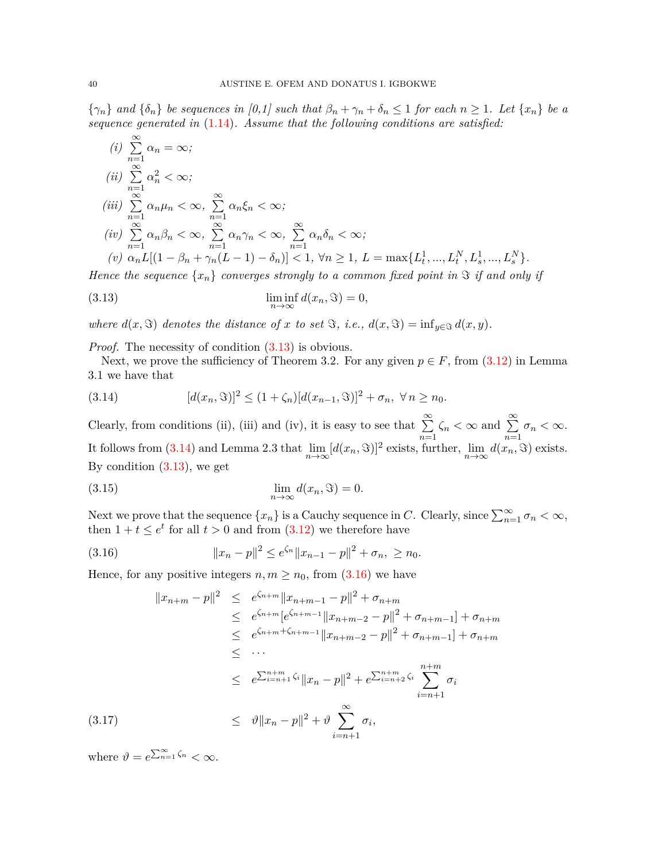$\{\gamma_n\}$  and  $\{\delta_n\}$  be sequences in [0,1] such that  $\beta_n + \gamma_n + \delta_n \leq 1$  for each  $n \geq 1$ . Let  $\{x_n\}$  be a *sequence generated in* ([1.14\)](#page-3-0)*. Assume that the following conditions are satisfied:*

(i) 
$$
\sum_{n=1}^{\infty} \alpha_n = \infty;
$$
  
\n(ii) 
$$
\sum_{n=1}^{\infty} \alpha_n^2 < \infty;
$$
  
\n(iii) 
$$
\sum_{n=1}^{\infty} \alpha_n \mu_n < \infty, \sum_{n=1}^{\infty} \alpha_n \xi_n < \infty;
$$
  
\n(iv) 
$$
\sum_{n=1}^{\infty} \alpha_n \beta_n < \infty, \sum_{n=1}^{\infty} \alpha_n \gamma_n < \infty, \sum_{n=1}^{\infty} \alpha_n \delta_n < \infty;
$$
  
\n(v) 
$$
\alpha_n L[(1 - \beta_n + \gamma_n(L - 1) - \delta_n)] < 1, \forall n \ge 1, L = \max\{L_t^1, ..., L_t^N, L_s^1, ..., L_s^N\}.
$$

*Hence the sequence*  $\{x_n\}$  *converges strongly to a common fixed point in*  $\Im$  *if and only if* 

<span id="page-9-0"></span>(3.13) 
$$
\liminf_{n \to \infty} d(x_n, \Im) = 0,
$$

*where*  $d(x, \Im)$  *denotes the distance of x to set*  $\Im$ *, i.e.,*  $d(x, \Im) = \inf_{y \in \Im} d(x, y)$ *.* 

*Proof.* The necessity of condition  $(3.13)$  is obvious.

Next, we prove the sufficiency of Theorem 3.2. For any given  $p \in F$ , from ([3.12\)](#page-8-1) in Lemma 3.1 we have that

<span id="page-9-1"></span>(3.14) 
$$
[d(x_n, \Im)]^2 \le (1 + \zeta_n) [d(x_{n-1}, \Im)]^2 + \sigma_n, \ \forall n \ge n_0.
$$

Clearly, from conditions (ii), (iii) and (iv), it is easy to see that  $\sum_{n=1}^{\infty}$ *n*=1  $\zeta_n < \infty$  and  $\sum_{n=1}^{\infty}$ *n*=1  $\sigma_n < \infty$ . It follows from [\(3.14\)](#page-9-1) and Lemma 2.3 that  $\lim_{n\to\infty} [d(x_n, \Im)]^2$  exists, further,  $\lim_{n\to\infty} d(x_n, \Im)$  exists. By condition [\(3.13\)](#page-9-0), we get

(3.15) 
$$
\lim_{n \to \infty} d(x_n, \Im) = 0.
$$

Next we prove that the sequence  $\{x_n\}$  is a Cauchy sequence in *C*. Clearly, since  $\sum_{n=1}^{\infty} \sigma_n < \infty$ , then  $1 + t \le e^t$  for all  $t > 0$  and from  $(3.12)$  $(3.12)$  we therefore have

<span id="page-9-2"></span>(3.16) 
$$
||x_n - p||^2 \le e^{\zeta_n} ||x_{n-1} - p||^2 + \sigma_n, \ge n_0.
$$

Hence, for any positive integers  $n, m \geq n_0$ , from [\(3.16](#page-9-2)) we have

$$
||x_{n+m} - p||^2 \leq e^{\zeta_{n+m}} ||x_{n+m-1} - p||^2 + \sigma_{n+m}
$$
  
\n
$$
\leq e^{\zeta_{n+m}} [e^{\zeta_{n+m-1}} ||x_{n+m-2} - p||^2 + \sigma_{n+m-1}] + \sigma_{n+m}
$$
  
\n
$$
\leq e^{\zeta_{n+m} + \zeta_{n+m-1}} ||x_{n+m-2} - p||^2 + \sigma_{n+m-1}] + \sigma_{n+m}
$$
  
\n
$$
\leq \cdots
$$
  
\n
$$
\leq e^{\sum_{i=m+1}^{n+m} \zeta_i} ||x_n - p||^2 + e^{\sum_{i=m+2}^{n+m} \zeta_i} \sum_{i=n+1}^{n+m} \sigma_i
$$
  
\n(3.17)  
\n
$$
\leq \vartheta ||x_n - p||^2 + \vartheta \sum_{i=n+1}^{\infty} \sigma_i,
$$

where  $\vartheta = e^{\sum_{n=1}^{\infty} \zeta_n} < \infty$ .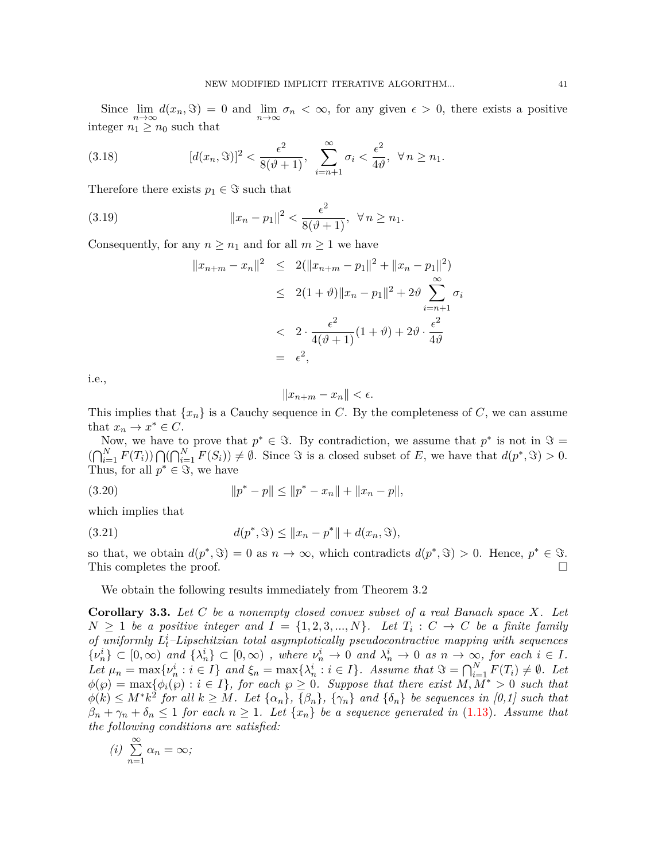Since  $\lim_{n\to\infty} d(x_n, \Im) = 0$  and  $\lim_{n\to\infty} \sigma_n < \infty$ , for any given  $\epsilon > 0$ , there exists a positive integer  $n_1 \geq n_0$  such that

(3.18) 
$$
[d(x_n, \Im)]^2 < \frac{\epsilon^2}{8(\vartheta + 1)}, \sum_{i=n+1}^{\infty} \sigma_i < \frac{\epsilon^2}{4\vartheta}, \ \forall n \ge n_1.
$$

Therefore there exists  $p_1 \in \Im$  such that

(3.19) 
$$
||x_n - p_1||^2 < \frac{\epsilon^2}{8(\vartheta + 1)}, \ \forall n \ge n_1.
$$

Consequently, for any  $n \geq n_1$  and for all  $m \geq 1$  we have

$$
||x_{n+m} - x_n||^2 \le 2(||x_{n+m} - p_1||^2 + ||x_n - p_1||^2)
$$
  
\n
$$
\le 2(1+\vartheta) ||x_n - p_1||^2 + 2\vartheta \sum_{i=n+1}^{\infty} \sigma_i
$$
  
\n
$$
\le 2 \cdot \frac{\epsilon^2}{4(\vartheta + 1)}(1+\vartheta) + 2\vartheta \cdot \frac{\epsilon^2}{4\vartheta}
$$
  
\n
$$
= \epsilon^2,
$$

i.e.,

$$
||x_{n+m} - x_n|| < \epsilon.
$$

This implies that  $\{x_n\}$  is a Cauchy sequence in C. By the completeness of C, we can assume that  $x_n \to x^* \in C$ .

Now, we have to prove that  $p^* \in \Im$ . By contradiction, we assume that  $p^*$  is not in  $\Im$  $(\bigcap_{i=1}^{N} F(T_i)) \bigcap (\bigcap_{i=1}^{N} F(S_i)) \neq \emptyset$ . Since  $\Im$  is a closed subset of E, we have that  $d(p^*, \Im) > 0$ . Thus, for all  $p^* \in \Im$ , we have

$$
(3.20) \t\t\t ||p^* - p|| \le ||p^* - x_n|| + ||x_n - p||,
$$

which implies that

(3.21) 
$$
d(p^*, \mathfrak{S}) \le ||x_n - p^*|| + d(x_n, \mathfrak{S}),
$$

so that, we obtain  $d(p^*, \mathcal{F}) = 0$  as  $n \to \infty$ , which contradicts  $d(p^*, \mathcal{F}) > 0$ . Hence,  $p^* \in \mathcal{F}$ . This completes the proof.  $\Box$ 

We obtain the following results immediately from Theorem 3.2

**Corollary 3.3.** *Let C be a nonempty closed convex subset of a real Banach space X. Let*  $N \geq 1$  *be a positive integer and*  $I = \{1, 2, 3, ..., N\}$ *. Let*  $T_i : C \rightarrow C$  *be a finite family of uniformly L i <sup>t</sup>–Lipschitzian total asymptotically pseudocontractive mapping with sequences*  $\{\nu_n^i\} \subset [0,\infty)$  and  $\{\lambda_n^i\} \subset [0,\infty)$ , where  $\nu_n^i \to 0$  and  $\lambda_n^i \to 0$  as  $n \to \infty$ , for each  $i \in I$ . Let  $\mu_n = \max\{\nu_n^i : i \in I\}$  and  $\xi_n = \max\{\lambda_n^i : i \in I\}$ . Assume that  $\Im = \bigcap_{i=1}^N F(T_i) \neq \emptyset$ . Let  $\phi(\wp) = \max{\phi_i(\wp) : i \in I}$ , for each  $\wp \geq 0$ . Suppose that there exist  $M, M^* > 0$  such that  $\phi(k) \leq M^* k^2$  for all  $k \geq M$ . Let  $\{\alpha_n\}$ ,  $\{\beta_n\}$ ,  $\{\gamma_n\}$  and  $\{\delta_n\}$  be sequences in [0,1] such that  $\beta_n + \gamma_n + \delta_n \leq 1$  *for each*  $n \geq 1$ *. Let*  $\{x_n\}$  *be a sequence generated in* ([1.13](#page-2-1))*. Assume that the following conditions are satisfied:*

$$
(i) \sum_{n=1}^{\infty} \alpha_n = \infty;
$$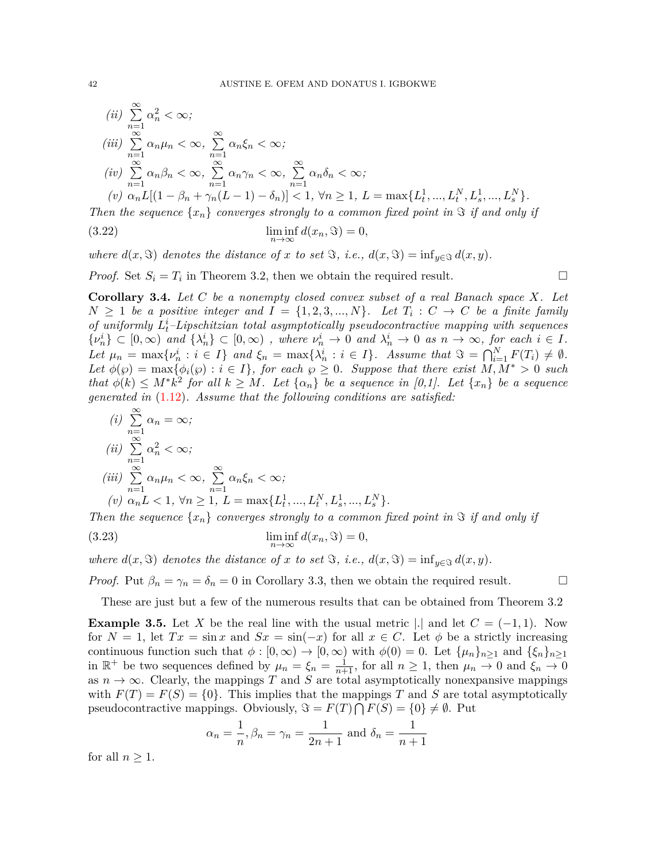(ii) 
$$
\sum_{n=1}^{\infty} \alpha_n^2 < \infty;
$$
  
\n(iii) 
$$
\sum_{n=1}^{\infty} \alpha_n \mu_n < \infty, \sum_{n=1}^{\infty} \alpha_n \xi_n < \infty;
$$
  
\n(iv) 
$$
\sum_{n=1}^{\infty} \alpha_n \beta_n < \infty, \sum_{n=1}^{\infty} \alpha_n \gamma_n < \infty, \sum_{n=1}^{\infty} \alpha_n \delta_n < \infty;
$$
  
\n(v) 
$$
\alpha_n L[(1 - \beta_n + \gamma_n(L - 1) - \delta_n)] < 1, \forall n \ge 1, L = \max\{L_t^1, ..., L_t^N, L_s^1, ..., L_s^N\}.
$$

*Then the sequence*  $\{x_n\}$  *converges strongly to a common fixed point in*  $\Im$  *if and only if* 

(3.22) 
$$
\liminf_{n \to \infty} d(x_n, \Im) = 0,
$$

*where*  $d(x, \Im)$  *denotes the distance of x to set*  $\Im$ *, i.e.,*  $d(x, \Im) = \inf_{y \in \Im} d(x, y)$ *.* 

*Proof.* Set  $S_i = T_i$  in Theorem 3.2, then we obtain the required result. □

**Corollary 3.4.** *Let C be a nonempty closed convex subset of a real Banach space X. Let*  $N \geq 1$  *be a positive integer and*  $I = \{1, 2, 3, ..., N\}$ *. Let*  $T_i : C \rightarrow C$  *be a finite family of uniformly L i <sup>t</sup>–Lipschitzian total asymptotically pseudocontractive mapping with sequences*  $\{\nu_n^i\} \subset [0,\infty)$  and  $\{\lambda_n^i\} \subset [0,\infty)$ , where  $\nu_n^i \to 0$  and  $\lambda_n^i \to 0$  as  $n \to \infty$ , for each  $i \in I$ . Let  $\mu_n = \max\{\nu_n^i : i \in I\}$  and  $\xi_n = \max\{\lambda_n^i : i \in I\}$ . Assume that  $\Im = \bigcap_{i=1}^N F(T_i) \neq \emptyset$ . *Let*  $\phi(\wp) = \max{\phi_i(\wp) : i \in I}$ , for each  $\wp \geq 0$ . Suppose that there exist  $M, M^* > 0$  such that  $\phi(k) \leq M^* k^2$  for all  $k \geq M$ . Let  $\{\alpha_n\}$  be a sequence in [0,1]. Let  $\{x_n\}$  be a sequence *generated in* [\(1.12\)](#page-2-2)*. Assume that the following conditions are satisfied:*

(i) 
$$
\sum_{n=1}^{\infty} \alpha_n = \infty;
$$
  
\n(ii) 
$$
\sum_{n=1}^{\infty} \alpha_n^2 < \infty;
$$
  
\n(iii) 
$$
\sum_{n=1}^{\infty} \alpha_n \mu_n < \infty, \sum_{n=1}^{\infty} \alpha_n \xi_n < \infty;
$$
  
\n(v) 
$$
\alpha_n L < 1, \forall n \ge 1, L = \max\{L_t^1, ..., L_t^N, L_s^1, ..., L_s^N\}.
$$

*Then the sequence*  $\{x_n\}$  *converges strongly to a common fixed point in*  $\Im$  *if and only if* 

(3.23) 
$$
\liminf_{n \to \infty} d(x_n, \Im) = 0,
$$

*where*  $d(x, \Im)$  *denotes the distance of x to set*  $\Im$ *, i.e.,*  $d(x, \Im) = \inf_{y \in \Im} d(x, y)$ *.* 

*Proof.* Put  $\beta_n = \gamma_n = \delta_n = 0$  in Corollary 3.3, then we obtain the required result. □

These are just but a few of the numerous results that can be obtained from Theorem 3.2

**Example 3.5.** Let *X* be the real line with the usual metric  $\vert \cdot \vert$  and let  $C = (-1, 1)$ . Now for  $N = 1$ , let  $Tx = \sin x$  and  $Sx = \sin(-x)$  for all  $x \in C$ . Let  $\phi$  be a strictly increasing continuous function such that  $\phi : [0, \infty) \to [0, \infty)$  with  $\phi(0) = 0$ . Let  $\{\mu_n\}_{n \geq 1}$  and  $\{\xi_n\}_{n \geq 1}$ in  $\mathbb{R}^+$  be two sequences defined by  $\mu_n = \xi_n = \frac{1}{n+1}$ , for all  $n \ge 1$ , then  $\mu_n \to 0$  and  $\xi_n \to 0$ as  $n \to \infty$ . Clearly, the mappings *T* and *S* are total asymptotically nonexpansive mappings with  $F(T) = F(S) = \{0\}$ . This implies that the mappings T and S are total asymptotically pseudocontractive mappings. Obviously,  $\Im = F(T) \cap F(S) = \{0\} \neq \emptyset$ . Put

$$
\alpha_n = \frac{1}{n}, \beta_n = \gamma_n = \frac{1}{2n+1}
$$
 and  $\delta_n = \frac{1}{n+1}$ 

for all  $n \geq 1$ .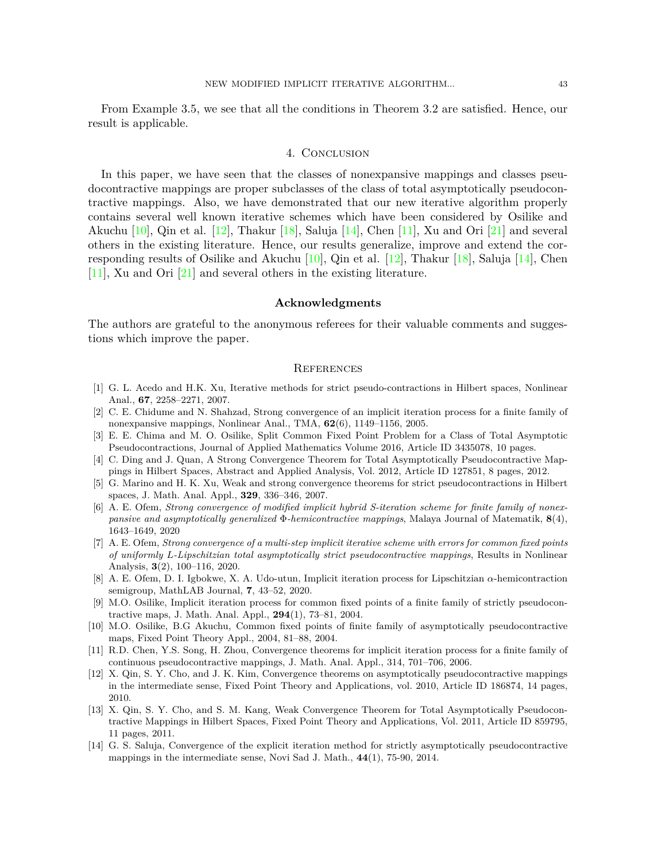From Example 3.5, we see that all the conditions in Theorem 3.2 are satisfied. Hence, our result is applicable.

## 4. Conclusion

In this paper, we have seen that the classes of nonexpansive mappings and classes pseudocontractive mappings are proper subclasses of the class of total asymptotically pseudocontractive mappings. Also, we have demonstrated that our new iterative algorithm properly contains several well known iterative schemes which have been considered by Osilike and Akuchu $[10]$  $[10]$ , Qin et al.  $[12]$  $[12]$ , Thakur  $[18]$ , Saluja  $[14]$ , Chen  $[11]$ , Xu and Ori  $[21]$  and several others in the existing literature. Hence, our results generalize, improve and extend the corresponding results of Osilike and Akuchu  $[10]$ , Qin et al.  $[12]$ , Thakur  $[18]$  $[18]$ , Saluja  $[14]$  $[14]$  $[14]$ , Chen [\[11\]](#page-12-11), Xu and Ori [\[21](#page-13-7)] and several others in the existing literature.

# **Acknowledgments**

The authors are grateful to the anonymous referees for their valuable comments and suggestions which improve the paper.

# **REFERENCES**

- <span id="page-12-3"></span>[1] G. L. Acedo and H.K. Xu, Iterative methods for strict pseudo-contractions in Hilbert spaces, Nonlinear Anal., **67**, 2258–2271, 2007.
- <span id="page-12-13"></span>[2] C. E. Chidume and N. Shahzad, Strong convergence of an implicit iteration process for a finite family of nonexpansive mappings, Nonlinear Anal., TMA, **62**(6), 1149–1156, 2005.
- <span id="page-12-5"></span>[3] E. E. Chima and M. O. Osilike, Split Common Fixed Point Problem for a Class of Total Asymptotic Pseudocontractions, Journal of Applied Mathematics Volume 2016, Article ID 3435078, 10 pages.
- <span id="page-12-4"></span>[4] C. Ding and J. Quan, A Strong Convergence Theorem for Total Asymptotically Pseudocontractive Mappings in Hilbert Spaces, Abstract and Applied Analysis, Vol. 2012, Article ID 127851, 8 pages, 2012.
- <span id="page-12-2"></span>[5] G. Marino and H. K. Xu, Weak and strong convergence theorems for strict pseudocontractions in Hilbert spaces, J. Math. Anal. Appl., **329**, 336–346, 2007.
- <span id="page-12-6"></span>[6] A. E. Ofem, *Strong convergence of modified implicit hybrid S-iteration scheme for finite family of nonexpansive and asymptotically generalized* Φ*-hemicontractive mappings*, Malaya Journal of Matematik, **8**(4), 1643–1649, 2020
- <span id="page-12-7"></span>[7] A. E. Ofem, *Strong convergence of a multi-step implicit iterative scheme with errors for common fixed points of uniformly L-Lipschitzian total asymptotically strict pseudocontractive mappings*, Results in Nonlinear Analysis, **3**(2), 100–116, 2020.
- <span id="page-12-8"></span>[8] A. E. Ofem, D. I. Igbokwe, X. A. Udo-utun, Implicit iteration process for Lipschitzian *α*-hemicontraction semigroup, MathLAB Journal, **7**, 43–52, 2020.
- <span id="page-12-9"></span>[9] M.O. Osilike, Implicit iteration process for common fixed points of a finite family of strictly pseudocontractive maps, J. Math. Anal. Appl., **294**(1), 73–81, 2004.
- <span id="page-12-10"></span>[10] M.O. Osilike, B.G Akuchu, Common fixed points of finite family of asymptotically pseudocontractive maps, Fixed Point Theory Appl., 2004, 81–88, 2004.
- <span id="page-12-11"></span>[11] R.D. Chen, Y.S. Song, H. Zhou, Convergence theorems for implicit iteration process for a finite family of continuous pseudocontractive mappings, J. Math. Anal. Appl., 314, 701–706, 2006.
- <span id="page-12-0"></span>[12] X. Qin, S. Y. Cho, and J. K. Kim, Convergence theorems on asymptotically pseudocontractive mappings in the intermediate sense, Fixed Point Theory and Applications, vol. 2010, Article ID 186874, 14 pages, 2010.
- <span id="page-12-1"></span>[13] X. Qin, S. Y. Cho, and S. M. Kang, Weak Convergence Theorem for Total Asymptotically Pseudocontractive Mappings in Hilbert Spaces, Fixed Point Theory and Applications, Vol. 2011, Article ID 859795, 11 pages, 2011.
- <span id="page-12-12"></span>[14] G. S. Saluja, Convergence of the explicit iteration method for strictly asymptotically pseudocontractive mappings in the intermediate sense, Novi Sad J. Math., **44**(1), 75-90, 2014.